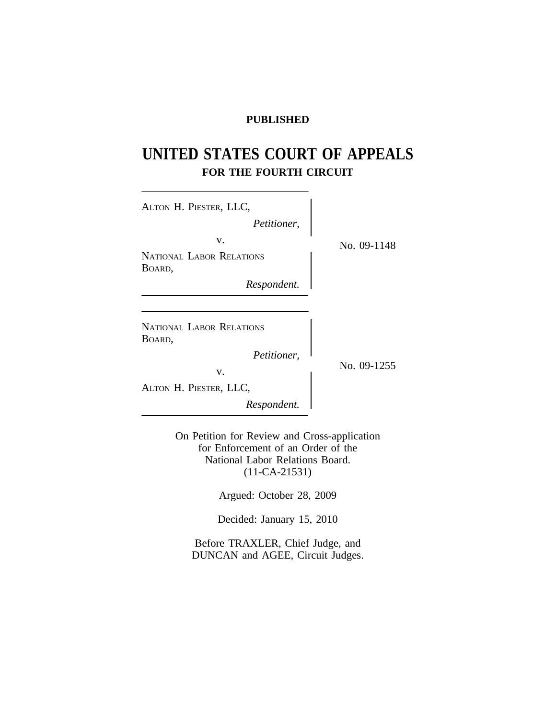# **PUBLISHED**

# **UNITED STATES COURT OF APPEALS FOR THE FOURTH CIRCUIT**

| ALTON H. PIESTER, LLC,                    |             |
|-------------------------------------------|-------------|
| Petitioner,                               |             |
| V.                                        | No. 09-1148 |
| NATIONAL LABOR RELATIONS                  |             |
| BOARD,                                    |             |
| Respondent.                               |             |
|                                           |             |
| <b>NATIONAL LABOR RELATIONS</b><br>BOARD, |             |
| Petitioner,                               |             |
| V.                                        | No. 09-1255 |
| ALTON H. PIESTER, LLC,                    |             |
| Respondent.                               |             |
|                                           |             |

On Petition for Review and Cross-application for Enforcement of an Order of the National Labor Relations Board. (11-CA-21531)

Argued: October 28, 2009

Decided: January 15, 2010

Before TRAXLER, Chief Judge, and DUNCAN and AGEE, Circuit Judges.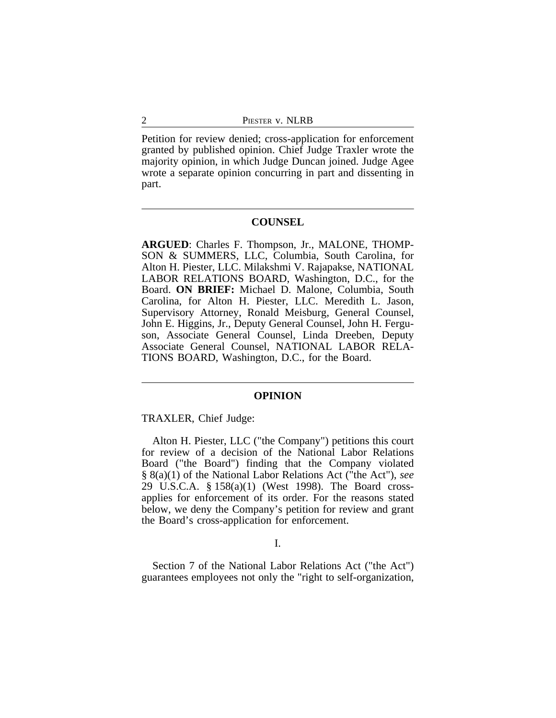Petition for review denied; cross-application for enforcement granted by published opinion. Chief Judge Traxler wrote the majority opinion, in which Judge Duncan joined. Judge Agee wrote a separate opinion concurring in part and dissenting in part.

## **COUNSEL**

**ARGUED**: Charles F. Thompson, Jr., MALONE, THOMP-SON & SUMMERS, LLC, Columbia, South Carolina, for Alton H. Piester, LLC. Milakshmi V. Rajapakse, NATIONAL LABOR RELATIONS BOARD, Washington, D.C., for the Board. **ON BRIEF:** Michael D. Malone, Columbia, South Carolina, for Alton H. Piester, LLC. Meredith L. Jason, Supervisory Attorney, Ronald Meisburg, General Counsel, John E. Higgins, Jr., Deputy General Counsel, John H. Ferguson, Associate General Counsel, Linda Dreeben, Deputy Associate General Counsel, NATIONAL LABOR RELA-TIONS BOARD, Washington, D.C., for the Board.

## **OPINION**

TRAXLER, Chief Judge:

Alton H. Piester, LLC ("the Company") petitions this court for review of a decision of the National Labor Relations Board ("the Board") finding that the Company violated § 8(a)(1) of the National Labor Relations Act ("the Act"), *see* 29 U.S.C.A. § 158(a)(1) (West 1998). The Board crossapplies for enforcement of its order. For the reasons stated below, we deny the Company's petition for review and grant the Board's cross-application for enforcement.

## I.

Section 7 of the National Labor Relations Act ("the Act") guarantees employees not only the "right to self-organization,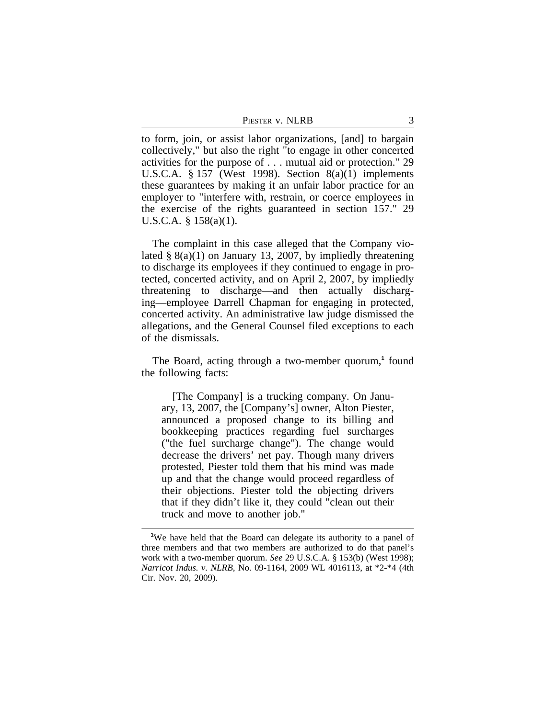to form, join, or assist labor organizations, [and] to bargain collectively," but also the right "to engage in other concerted activities for the purpose of . . . mutual aid or protection." 29 U.S.C.A. § 157 (West 1998). Section 8(a)(1) implements these guarantees by making it an unfair labor practice for an employer to "interfere with, restrain, or coerce employees in the exercise of the rights guaranteed in section 157." 29 U.S.C.A. § 158(a)(1).

The complaint in this case alleged that the Company violated  $\S$  8(a)(1) on January 13, 2007, by impliedly threatening to discharge its employees if they continued to engage in protected, concerted activity, and on April 2, 2007, by impliedly threatening to discharge—and then actually discharging—employee Darrell Chapman for engaging in protected, concerted activity. An administrative law judge dismissed the allegations, and the General Counsel filed exceptions to each of the dismissals.

The Board, acting through a two-member quorum,**<sup>1</sup>** found the following facts:

[The Company] is a trucking company. On January, 13, 2007, the [Company's] owner, Alton Piester, announced a proposed change to its billing and bookkeeping practices regarding fuel surcharges ("the fuel surcharge change"). The change would decrease the drivers' net pay. Though many drivers protested, Piester told them that his mind was made up and that the change would proceed regardless of their objections. Piester told the objecting drivers that if they didn't like it, they could "clean out their truck and move to another job."

<sup>&</sup>lt;sup>1</sup>We have held that the Board can delegate its authority to a panel of three members and that two members are authorized to do that panel's work with a two-member quorum. *See* 29 U.S.C.A. § 153(b) (West 1998); *Narricot Indus. v. NLRB*, No. 09-1164, 2009 WL 4016113, at \*2-\*4 (4th Cir. Nov. 20, 2009).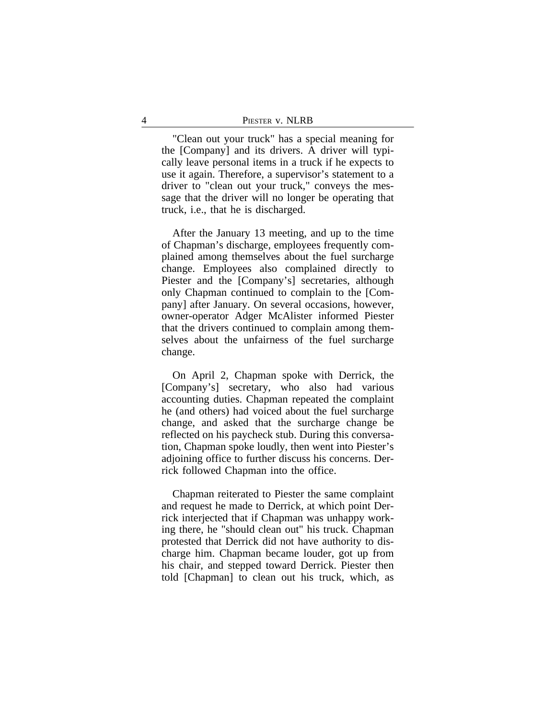"Clean out your truck" has a special meaning for the [Company] and its drivers. A driver will typically leave personal items in a truck if he expects to use it again. Therefore, a supervisor's statement to a driver to "clean out your truck," conveys the message that the driver will no longer be operating that truck, i.e., that he is discharged.

After the January 13 meeting, and up to the time of Chapman's discharge, employees frequently complained among themselves about the fuel surcharge change. Employees also complained directly to Piester and the [Company's] secretaries, although only Chapman continued to complain to the [Company] after January. On several occasions, however, owner-operator Adger McAlister informed Piester that the drivers continued to complain among themselves about the unfairness of the fuel surcharge change.

On April 2, Chapman spoke with Derrick, the [Company's] secretary, who also had various accounting duties. Chapman repeated the complaint he (and others) had voiced about the fuel surcharge change, and asked that the surcharge change be reflected on his paycheck stub. During this conversation, Chapman spoke loudly, then went into Piester's adjoining office to further discuss his concerns. Derrick followed Chapman into the office.

Chapman reiterated to Piester the same complaint and request he made to Derrick, at which point Derrick interjected that if Chapman was unhappy working there, he "should clean out" his truck. Chapman protested that Derrick did not have authority to discharge him. Chapman became louder, got up from his chair, and stepped toward Derrick. Piester then told [Chapman] to clean out his truck, which, as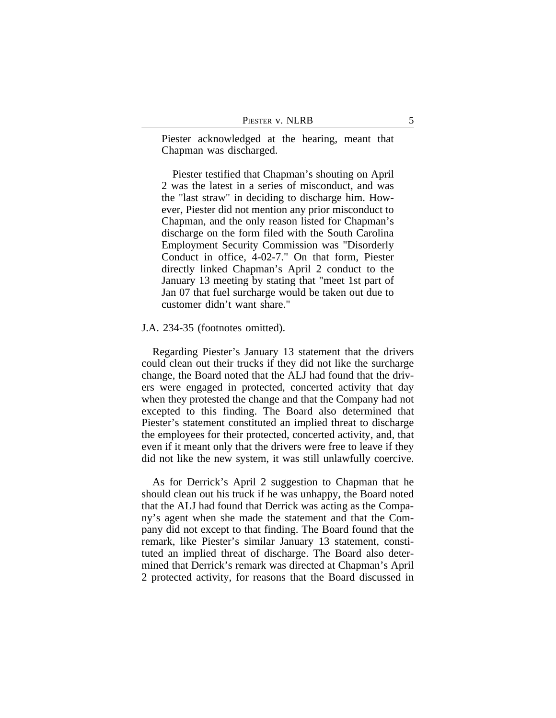Piester acknowledged at the hearing, meant that Chapman was discharged.

Piester testified that Chapman's shouting on April 2 was the latest in a series of misconduct, and was the "last straw" in deciding to discharge him. However, Piester did not mention any prior misconduct to Chapman, and the only reason listed for Chapman's discharge on the form filed with the South Carolina Employment Security Commission was "Disorderly Conduct in office, 4-02-7." On that form, Piester directly linked Chapman's April 2 conduct to the January 13 meeting by stating that "meet 1st part of Jan 07 that fuel surcharge would be taken out due to customer didn't want share."

## J.A. 234-35 (footnotes omitted).

Regarding Piester's January 13 statement that the drivers could clean out their trucks if they did not like the surcharge change, the Board noted that the ALJ had found that the drivers were engaged in protected, concerted activity that day when they protested the change and that the Company had not excepted to this finding. The Board also determined that Piester's statement constituted an implied threat to discharge the employees for their protected, concerted activity, and, that even if it meant only that the drivers were free to leave if they did not like the new system, it was still unlawfully coercive.

As for Derrick's April 2 suggestion to Chapman that he should clean out his truck if he was unhappy, the Board noted that the ALJ had found that Derrick was acting as the Company's agent when she made the statement and that the Company did not except to that finding. The Board found that the remark, like Piester's similar January 13 statement, constituted an implied threat of discharge. The Board also determined that Derrick's remark was directed at Chapman's April 2 protected activity, for reasons that the Board discussed in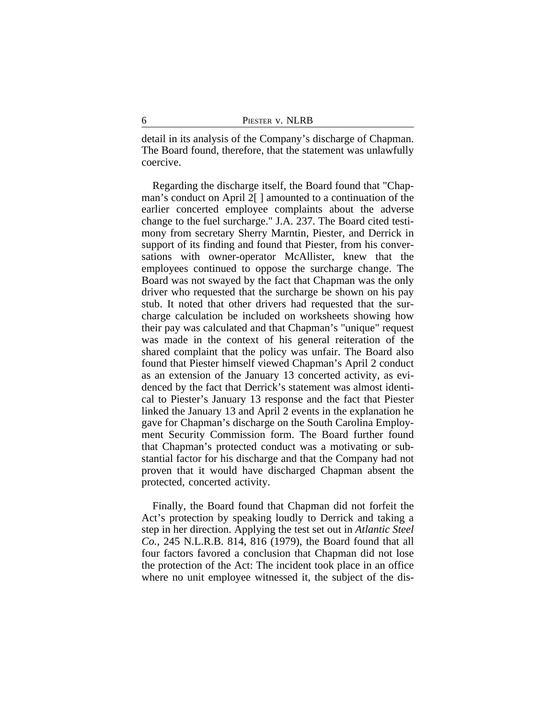detail in its analysis of the Company's discharge of Chapman. The Board found, therefore, that the statement was unlawfully coercive.

Regarding the discharge itself, the Board found that "Chapman's conduct on April 2[ ] amounted to a continuation of the earlier concerted employee complaints about the adverse change to the fuel surcharge." J.A. 237. The Board cited testimony from secretary Sherry Marntin, Piester, and Derrick in support of its finding and found that Piester, from his conversations with owner-operator McAllister, knew that the employees continued to oppose the surcharge change. The Board was not swayed by the fact that Chapman was the only driver who requested that the surcharge be shown on his pay stub. It noted that other drivers had requested that the surcharge calculation be included on worksheets showing how their pay was calculated and that Chapman's "unique" request was made in the context of his general reiteration of the shared complaint that the policy was unfair. The Board also found that Piester himself viewed Chapman's April 2 conduct as an extension of the January 13 concerted activity, as evidenced by the fact that Derrick's statement was almost identical to Piester's January 13 response and the fact that Piester linked the January 13 and April 2 events in the explanation he gave for Chapman's discharge on the South Carolina Employment Security Commission form. The Board further found that Chapman's protected conduct was a motivating or substantial factor for his discharge and that the Company had not proven that it would have discharged Chapman absent the protected, concerted activity.

Finally, the Board found that Chapman did not forfeit the Act's protection by speaking loudly to Derrick and taking a step in her direction. Applying the test set out in *Atlantic Steel Co.*, 245 N.L.R.B. 814, 816 (1979), the Board found that all four factors favored a conclusion that Chapman did not lose the protection of the Act: The incident took place in an office where no unit employee witnessed it, the subject of the dis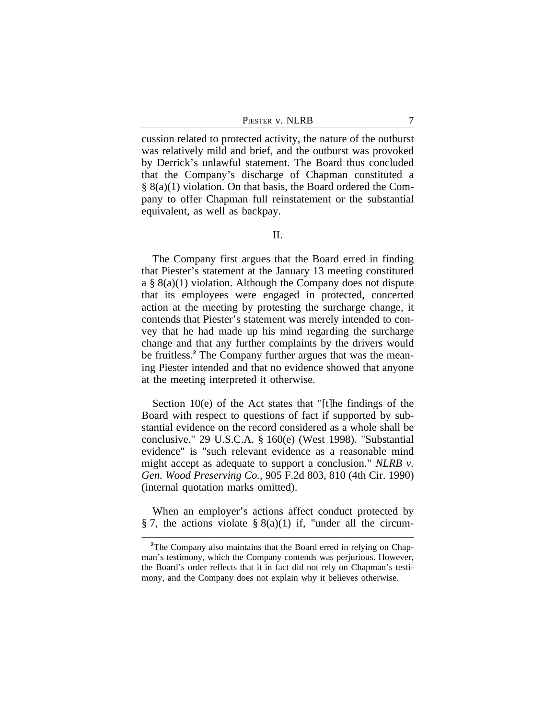PIESTER V. NLRB 7

cussion related to protected activity, the nature of the outburst was relatively mild and brief, and the outburst was provoked by Derrick's unlawful statement. The Board thus concluded that the Company's discharge of Chapman constituted a § 8(a)(1) violation. On that basis, the Board ordered the Company to offer Chapman full reinstatement or the substantial equivalent, as well as backpay.

The Company first argues that the Board erred in finding that Piester's statement at the January 13 meeting constituted a § 8(a)(1) violation. Although the Company does not dispute that its employees were engaged in protected, concerted action at the meeting by protesting the surcharge change, it contends that Piester's statement was merely intended to convey that he had made up his mind regarding the surcharge change and that any further complaints by the drivers would be fruitless.**<sup>2</sup>** The Company further argues that was the meaning Piester intended and that no evidence showed that anyone at the meeting interpreted it otherwise.

Section 10(e) of the Act states that "[t]he findings of the Board with respect to questions of fact if supported by substantial evidence on the record considered as a whole shall be conclusive." 29 U.S.C.A. § 160(e) (West 1998). "Substantial evidence" is "such relevant evidence as a reasonable mind might accept as adequate to support a conclusion." *NLRB v. Gen. Wood Preserving Co.*, 905 F.2d 803, 810 (4th Cir. 1990) (internal quotation marks omitted).

When an employer's actions affect conduct protected by § 7, the actions violate §  $8(a)(1)$  if, "under all the circum-

<sup>&</sup>lt;sup>2</sup>The Company also maintains that the Board erred in relying on Chapman's testimony, which the Company contends was perjurious. However, the Board's order reflects that it in fact did not rely on Chapman's testimony, and the Company does not explain why it believes otherwise.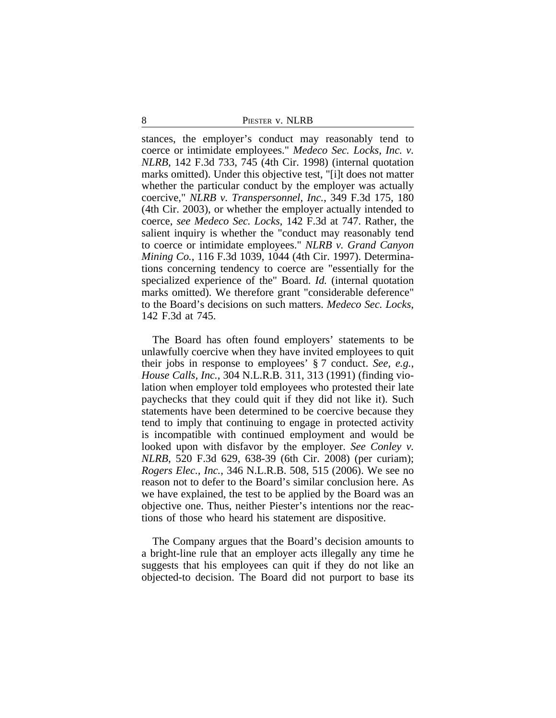stances, the employer's conduct may reasonably tend to coerce or intimidate employees." *Medeco Sec. Locks, Inc. v. NLRB*, 142 F.3d 733, 745 (4th Cir. 1998) (internal quotation marks omitted). Under this objective test, "[i]t does not matter whether the particular conduct by the employer was actually coercive," *NLRB v. Transpersonnel, Inc.*, 349 F.3d 175, 180 (4th Cir. 2003), or whether the employer actually intended to coerce, *see Medeco Sec. Locks*, 142 F.3d at 747. Rather, the salient inquiry is whether the "conduct may reasonably tend to coerce or intimidate employees." *NLRB v. Grand Canyon Mining Co.*, 116 F.3d 1039, 1044 (4th Cir. 1997). Determinations concerning tendency to coerce are "essentially for the specialized experience of the" Board. *Id.* (internal quotation marks omitted). We therefore grant "considerable deference" to the Board's decisions on such matters. *Medeco Sec. Locks*, 142 F.3d at 745.

The Board has often found employers' statements to be unlawfully coercive when they have invited employees to quit their jobs in response to employees' § 7 conduct. *See, e.g.*, *House Calls, Inc.*, 304 N.L.R.B. 311, 313 (1991) (finding violation when employer told employees who protested their late paychecks that they could quit if they did not like it). Such statements have been determined to be coercive because they tend to imply that continuing to engage in protected activity is incompatible with continued employment and would be looked upon with disfavor by the employer. *See Conley v. NLRB*, 520 F.3d 629, 638-39 (6th Cir. 2008) (per curiam); *Rogers Elec., Inc.*, 346 N.L.R.B. 508, 515 (2006). We see no reason not to defer to the Board's similar conclusion here. As we have explained, the test to be applied by the Board was an objective one. Thus, neither Piester's intentions nor the reactions of those who heard his statement are dispositive.

The Company argues that the Board's decision amounts to a bright-line rule that an employer acts illegally any time he suggests that his employees can quit if they do not like an objected-to decision. The Board did not purport to base its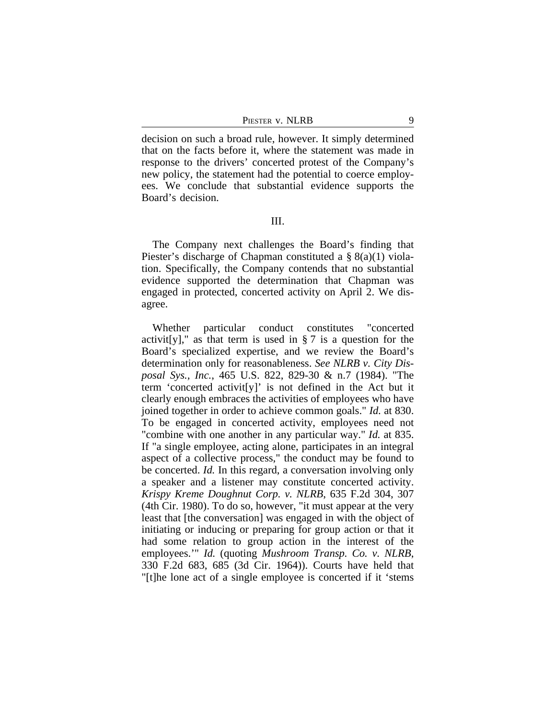PIESTER V. NLRB 9

decision on such a broad rule, however. It simply determined that on the facts before it, where the statement was made in response to the drivers' concerted protest of the Company's new policy, the statement had the potential to coerce employees. We conclude that substantial evidence supports the Board's decision.

III.

The Company next challenges the Board's finding that Piester's discharge of Chapman constituted a § 8(a)(1) violation. Specifically, the Company contends that no substantial evidence supported the determination that Chapman was engaged in protected, concerted activity on April 2. We disagree.

Whether particular conduct constitutes "concerted activit[y]," as that term is used in  $\S 7$  is a question for the Board's specialized expertise, and we review the Board's determination only for reasonableness. *See NLRB v. City Disposal Sys., Inc.*, 465 U.S. 822, 829-30 & n.7 (1984). "The term 'concerted activit[y]' is not defined in the Act but it clearly enough embraces the activities of employees who have joined together in order to achieve common goals." *Id.* at 830. To be engaged in concerted activity, employees need not "combine with one another in any particular way." *Id.* at 835. If "a single employee, acting alone, participates in an integral aspect of a collective process," the conduct may be found to be concerted. *Id.* In this regard, a conversation involving only a speaker and a listener may constitute concerted activity. *Krispy Kreme Doughnut Corp. v. NLRB*, 635 F.2d 304, 307 (4th Cir. 1980). To do so, however, "it must appear at the very least that [the conversation] was engaged in with the object of initiating or inducing or preparing for group action or that it had some relation to group action in the interest of the employees.'" *Id.* (quoting *Mushroom Transp. Co. v. NLRB*, 330 F.2d 683, 685 (3d Cir. 1964)). Courts have held that "[t]he lone act of a single employee is concerted if it 'stems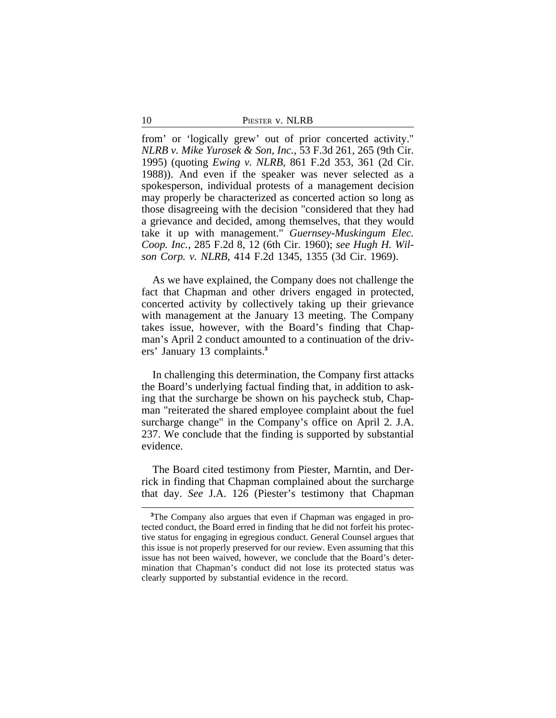| 10 | PIESTER V. NLRB |
|----|-----------------|
|    |                 |

from' or 'logically grew' out of prior concerted activity." *NLRB v. Mike Yurosek & Son, Inc.*, 53 F.3d 261, 265 (9th Cir. 1995) (quoting *Ewing v. NLRB*, 861 F.2d 353, 361 (2d Cir. 1988)). And even if the speaker was never selected as a spokesperson, individual protests of a management decision may properly be characterized as concerted action so long as those disagreeing with the decision "considered that they had a grievance and decided, among themselves, that they would take it up with management." *Guernsey-Muskingum Elec. Coop. Inc.*, 285 F.2d 8, 12 (6th Cir. 1960); *see Hugh H. Wilson Corp. v. NLRB*, 414 F.2d 1345, 1355 (3d Cir. 1969).

As we have explained, the Company does not challenge the fact that Chapman and other drivers engaged in protected, concerted activity by collectively taking up their grievance with management at the January 13 meeting. The Company takes issue, however, with the Board's finding that Chapman's April 2 conduct amounted to a continuation of the drivers' January 13 complaints.**<sup>3</sup>**

In challenging this determination, the Company first attacks the Board's underlying factual finding that, in addition to asking that the surcharge be shown on his paycheck stub, Chapman "reiterated the shared employee complaint about the fuel surcharge change" in the Company's office on April 2. J.A. 237. We conclude that the finding is supported by substantial evidence.

The Board cited testimony from Piester, Marntin, and Derrick in finding that Chapman complained about the surcharge that day. *See* J.A. 126 (Piester's testimony that Chapman

**<sup>3</sup>**The Company also argues that even if Chapman was engaged in protected conduct, the Board erred in finding that he did not forfeit his protective status for engaging in egregious conduct. General Counsel argues that this issue is not properly preserved for our review. Even assuming that this issue has not been waived, however, we conclude that the Board's determination that Chapman's conduct did not lose its protected status was clearly supported by substantial evidence in the record.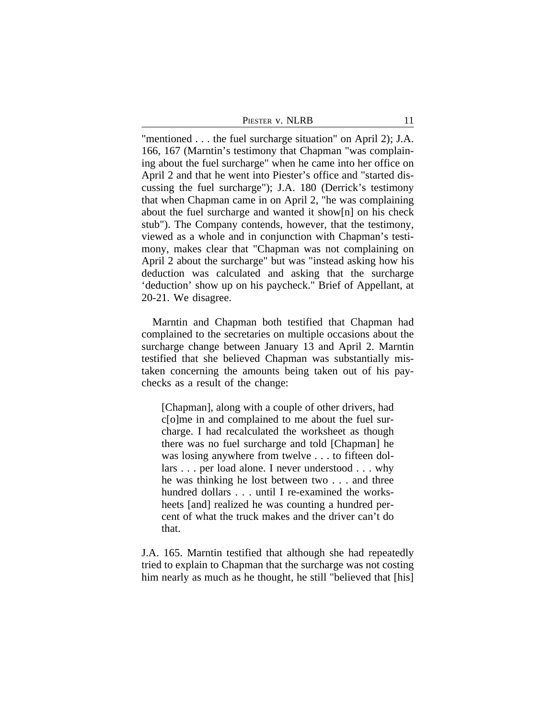| Piester v. NLRB |  |  |
|-----------------|--|--|
|                 |  |  |

"mentioned . . . the fuel surcharge situation" on April 2); J.A. 166, 167 (Marntin's testimony that Chapman "was complaining about the fuel surcharge" when he came into her office on April 2 and that he went into Piester's office and "started discussing the fuel surcharge"); J.A. 180 (Derrick's testimony that when Chapman came in on April 2, "he was complaining about the fuel surcharge and wanted it show[n] on his check stub"). The Company contends, however, that the testimony, viewed as a whole and in conjunction with Chapman's testimony, makes clear that "Chapman was not complaining on April 2 about the surcharge" but was "instead asking how his deduction was calculated and asking that the surcharge 'deduction' show up on his paycheck." Brief of Appellant, at 20-21. We disagree.

Marntin and Chapman both testified that Chapman had complained to the secretaries on multiple occasions about the surcharge change between January 13 and April 2. Marntin testified that she believed Chapman was substantially mistaken concerning the amounts being taken out of his paychecks as a result of the change:

[Chapman], along with a couple of other drivers, had c[o]me in and complained to me about the fuel surcharge. I had recalculated the worksheet as though there was no fuel surcharge and told [Chapman] he was losing anywhere from twelve . . . to fifteen dollars . . . per load alone. I never understood . . . why he was thinking he lost between two . . . and three hundred dollars . . . until I re-examined the worksheets [and] realized he was counting a hundred percent of what the truck makes and the driver can't do that.

J.A. 165. Marntin testified that although she had repeatedly tried to explain to Chapman that the surcharge was not costing him nearly as much as he thought, he still "believed that [his]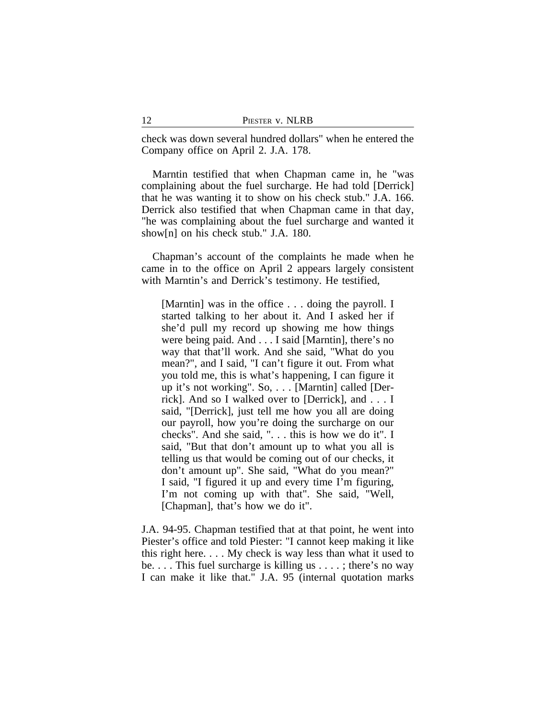check was down several hundred dollars" when he entered the Company office on April 2. J.A. 178.

Marntin testified that when Chapman came in, he "was complaining about the fuel surcharge. He had told [Derrick] that he was wanting it to show on his check stub." J.A. 166. Derrick also testified that when Chapman came in that day, "he was complaining about the fuel surcharge and wanted it show[n] on his check stub." J.A. 180.

Chapman's account of the complaints he made when he came in to the office on April 2 appears largely consistent with Marntin's and Derrick's testimony. He testified,

[Marntin] was in the office . . . doing the payroll. I started talking to her about it. And I asked her if she'd pull my record up showing me how things were being paid. And . . . I said [Marntin], there's no way that that'll work. And she said, "What do you mean?", and I said, "I can't figure it out. From what you told me, this is what's happening, I can figure it up it's not working". So, . . . [Marntin] called [Derrick]. And so I walked over to [Derrick], and . . . I said, "[Derrick], just tell me how you all are doing our payroll, how you're doing the surcharge on our checks". And she said, ". . . this is how we do it". I said, "But that don't amount up to what you all is telling us that would be coming out of our checks, it don't amount up". She said, "What do you mean?" I said, "I figured it up and every time I'm figuring, I'm not coming up with that". She said, "Well, [Chapman], that's how we do it".

J.A. 94-95. Chapman testified that at that point, he went into Piester's office and told Piester: "I cannot keep making it like this right here. . . . My check is way less than what it used to be. . . . This fuel surcharge is killing us . . . . ; there's no way I can make it like that." J.A. 95 (internal quotation marks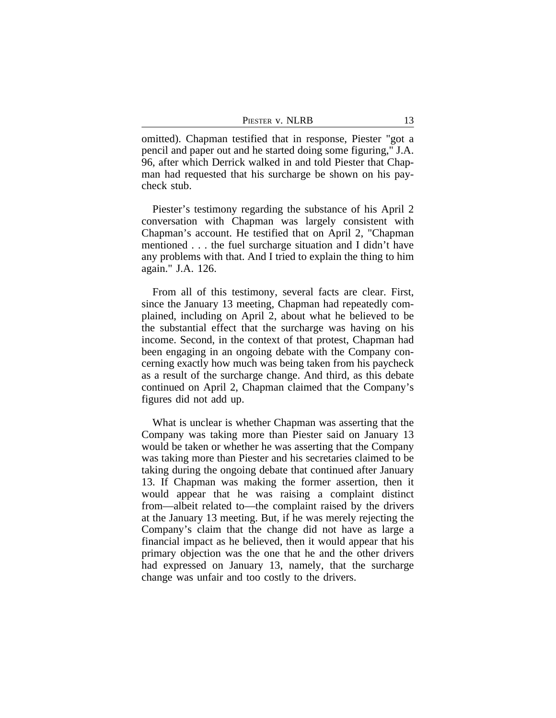| PIESTER V. NLRB |  |
|-----------------|--|
|                 |  |

omitted). Chapman testified that in response, Piester "got a pencil and paper out and he started doing some figuring," J.A. 96, after which Derrick walked in and told Piester that Chapman had requested that his surcharge be shown on his paycheck stub.

Piester's testimony regarding the substance of his April 2 conversation with Chapman was largely consistent with Chapman's account. He testified that on April 2, "Chapman mentioned . . . the fuel surcharge situation and I didn't have any problems with that. And I tried to explain the thing to him again." J.A. 126.

From all of this testimony, several facts are clear. First, since the January 13 meeting, Chapman had repeatedly complained, including on April 2, about what he believed to be the substantial effect that the surcharge was having on his income. Second, in the context of that protest, Chapman had been engaging in an ongoing debate with the Company concerning exactly how much was being taken from his paycheck as a result of the surcharge change. And third, as this debate continued on April 2, Chapman claimed that the Company's figures did not add up.

What is unclear is whether Chapman was asserting that the Company was taking more than Piester said on January 13 would be taken or whether he was asserting that the Company was taking more than Piester and his secretaries claimed to be taking during the ongoing debate that continued after January 13. If Chapman was making the former assertion, then it would appear that he was raising a complaint distinct from—albeit related to—the complaint raised by the drivers at the January 13 meeting. But, if he was merely rejecting the Company's claim that the change did not have as large a financial impact as he believed, then it would appear that his primary objection was the one that he and the other drivers had expressed on January 13, namely, that the surcharge change was unfair and too costly to the drivers.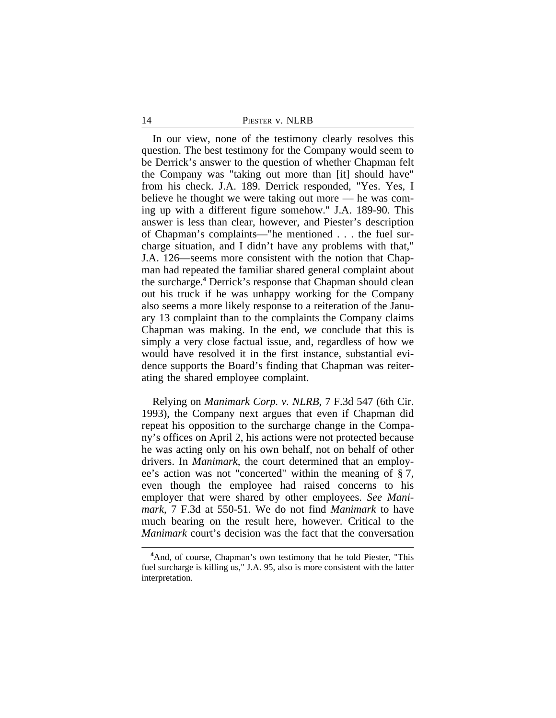#### 14 **PIESTER V. NLRB**

In our view, none of the testimony clearly resolves this question. The best testimony for the Company would seem to be Derrick's answer to the question of whether Chapman felt the Company was "taking out more than [it] should have" from his check. J.A. 189. Derrick responded, "Yes. Yes, I believe he thought we were taking out more — he was coming up with a different figure somehow." J.A. 189-90. This answer is less than clear, however, and Piester's description of Chapman's complaints—"he mentioned . . . the fuel surcharge situation, and I didn't have any problems with that," J.A. 126—seems more consistent with the notion that Chapman had repeated the familiar shared general complaint about the surcharge.**<sup>4</sup>** Derrick's response that Chapman should clean out his truck if he was unhappy working for the Company also seems a more likely response to a reiteration of the January 13 complaint than to the complaints the Company claims Chapman was making. In the end, we conclude that this is simply a very close factual issue, and, regardless of how we would have resolved it in the first instance, substantial evidence supports the Board's finding that Chapman was reiterating the shared employee complaint.

Relying on *Manimark Corp. v. NLRB*, 7 F.3d 547 (6th Cir. 1993), the Company next argues that even if Chapman did repeat his opposition to the surcharge change in the Company's offices on April 2, his actions were not protected because he was acting only on his own behalf, not on behalf of other drivers. In *Manimark*, the court determined that an employee's action was not "concerted" within the meaning of § 7, even though the employee had raised concerns to his employer that were shared by other employees. *See Manimark*, 7 F.3d at 550-51. We do not find *Manimark* to have much bearing on the result here, however. Critical to the *Manimark* court's decision was the fact that the conversation

<sup>&</sup>lt;sup>4</sup>And, of course, Chapman's own testimony that he told Piester, "This fuel surcharge is killing us," J.A. 95, also is more consistent with the latter interpretation.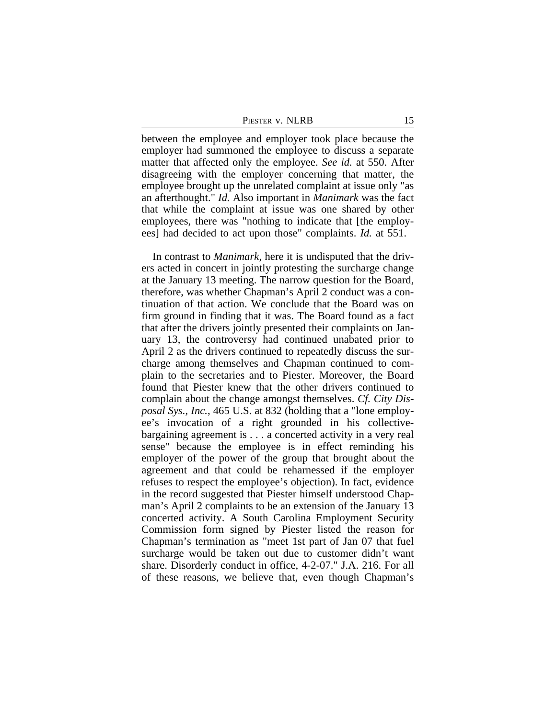PIESTER V. NLRB 15

between the employee and employer took place because the employer had summoned the employee to discuss a separate matter that affected only the employee. *See id.* at 550. After disagreeing with the employer concerning that matter, the employee brought up the unrelated complaint at issue only "as an afterthought." *Id.* Also important in *Manimark* was the fact that while the complaint at issue was one shared by other employees, there was "nothing to indicate that [the employees] had decided to act upon those" complaints. *Id.* at 551.

In contrast to *Manimark*, here it is undisputed that the drivers acted in concert in jointly protesting the surcharge change at the January 13 meeting. The narrow question for the Board, therefore, was whether Chapman's April 2 conduct was a continuation of that action. We conclude that the Board was on firm ground in finding that it was. The Board found as a fact that after the drivers jointly presented their complaints on January 13, the controversy had continued unabated prior to April 2 as the drivers continued to repeatedly discuss the surcharge among themselves and Chapman continued to complain to the secretaries and to Piester. Moreover, the Board found that Piester knew that the other drivers continued to complain about the change amongst themselves. *Cf. City Disposal Sys., Inc.*, 465 U.S. at 832 (holding that a "lone employee's invocation of a right grounded in his collectivebargaining agreement is . . . a concerted activity in a very real sense" because the employee is in effect reminding his employer of the power of the group that brought about the agreement and that could be reharnessed if the employer refuses to respect the employee's objection). In fact, evidence in the record suggested that Piester himself understood Chapman's April 2 complaints to be an extension of the January 13 concerted activity. A South Carolina Employment Security Commission form signed by Piester listed the reason for Chapman's termination as "meet 1st part of Jan 07 that fuel surcharge would be taken out due to customer didn't want share. Disorderly conduct in office, 4-2-07." J.A. 216. For all of these reasons, we believe that, even though Chapman's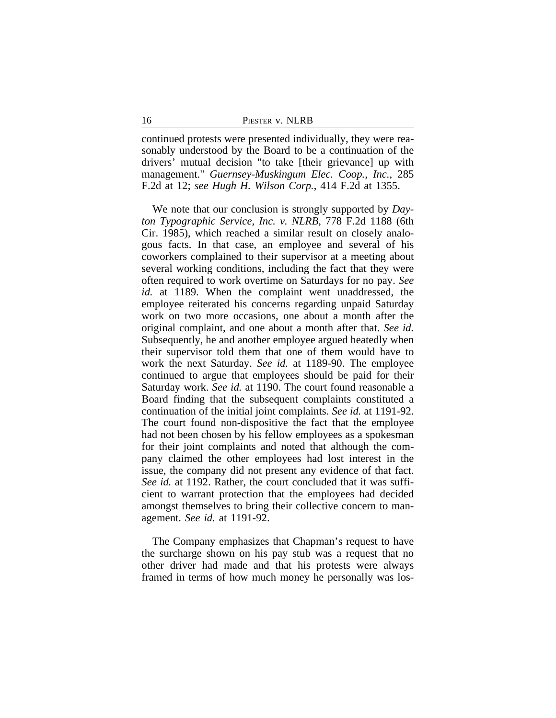continued protests were presented individually, they were reasonably understood by the Board to be a continuation of the drivers' mutual decision "to take [their grievance] up with management." *Guernsey-Muskingum Elec. Coop., Inc.*, 285 F.2d at 12; *see Hugh H. Wilson Corp.*, 414 F.2d at 1355.

We note that our conclusion is strongly supported by *Dayton Typographic Service, Inc. v. NLRB*, 778 F.2d 1188 (6th Cir. 1985), which reached a similar result on closely analogous facts. In that case, an employee and several of his coworkers complained to their supervisor at a meeting about several working conditions, including the fact that they were often required to work overtime on Saturdays for no pay. *See id.* at 1189. When the complaint went unaddressed, the employee reiterated his concerns regarding unpaid Saturday work on two more occasions, one about a month after the original complaint, and one about a month after that. *See id.* Subsequently, he and another employee argued heatedly when their supervisor told them that one of them would have to work the next Saturday. *See id.* at 1189-90. The employee continued to argue that employees should be paid for their Saturday work. *See id.* at 1190. The court found reasonable a Board finding that the subsequent complaints constituted a continuation of the initial joint complaints. *See id.* at 1191-92. The court found non-dispositive the fact that the employee had not been chosen by his fellow employees as a spokesman for their joint complaints and noted that although the company claimed the other employees had lost interest in the issue, the company did not present any evidence of that fact. *See id.* at 1192. Rather, the court concluded that it was sufficient to warrant protection that the employees had decided amongst themselves to bring their collective concern to management. *See id.* at 1191-92.

The Company emphasizes that Chapman's request to have the surcharge shown on his pay stub was a request that no other driver had made and that his protests were always framed in terms of how much money he personally was los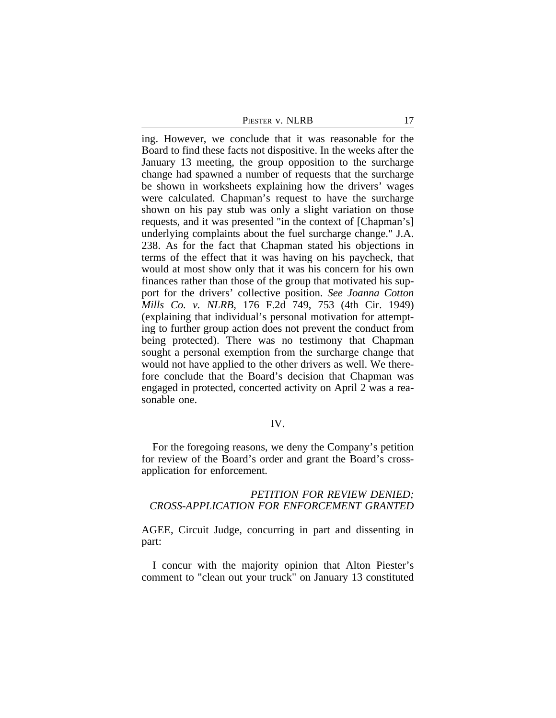PIESTER V. NLRB 17

ing. However, we conclude that it was reasonable for the Board to find these facts not dispositive. In the weeks after the January 13 meeting, the group opposition to the surcharge change had spawned a number of requests that the surcharge be shown in worksheets explaining how the drivers' wages were calculated. Chapman's request to have the surcharge shown on his pay stub was only a slight variation on those requests, and it was presented "in the context of [Chapman's] underlying complaints about the fuel surcharge change." J.A. 238. As for the fact that Chapman stated his objections in terms of the effect that it was having on his paycheck, that would at most show only that it was his concern for his own finances rather than those of the group that motivated his support for the drivers' collective position. *See Joanna Cotton Mills Co. v. NLRB*, 176 F.2d 749, 753 (4th Cir. 1949) (explaining that individual's personal motivation for attempting to further group action does not prevent the conduct from being protected). There was no testimony that Chapman sought a personal exemption from the surcharge change that would not have applied to the other drivers as well. We therefore conclude that the Board's decision that Chapman was engaged in protected, concerted activity on April 2 was a reasonable one.

## IV.

For the foregoing reasons, we deny the Company's petition for review of the Board's order and grant the Board's crossapplication for enforcement.

## *PETITION FOR REVIEW DENIED; CROSS-APPLICATION FOR ENFORCEMENT GRANTED*

AGEE, Circuit Judge, concurring in part and dissenting in part:

I concur with the majority opinion that Alton Piester's comment to "clean out your truck" on January 13 constituted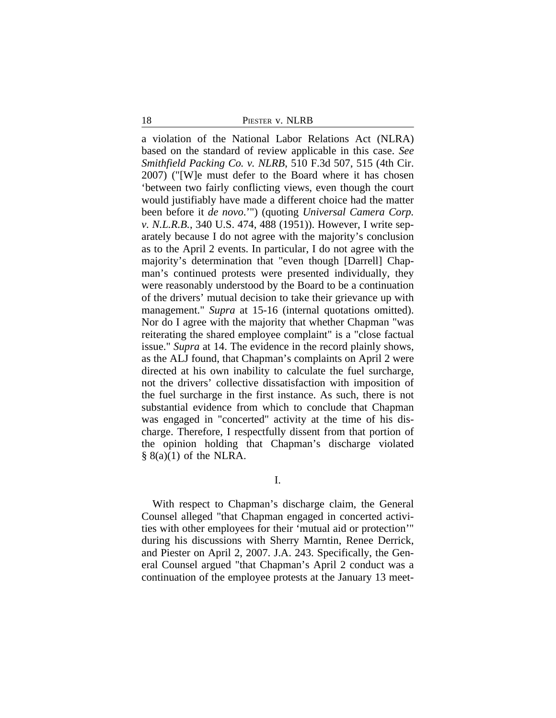18 **PIESTER V. NLRB** 

a violation of the National Labor Relations Act (NLRA) based on the standard of review applicable in this case. *See Smithfield Packing Co. v. NLRB*, 510 F.3d 507, 515 (4th Cir. 2007) ("[W]e must defer to the Board where it has chosen 'between two fairly conflicting views, even though the court would justifiably have made a different choice had the matter been before it *de novo*.'") (quoting *Universal Camera Corp. v. N.L.R.B.*, 340 U.S. 474, 488 (1951)). However, I write separately because I do not agree with the majority's conclusion as to the April 2 events. In particular, I do not agree with the majority's determination that "even though [Darrell] Chapman's continued protests were presented individually, they were reasonably understood by the Board to be a continuation of the drivers' mutual decision to take their grievance up with management." *Supra* at 15-16 (internal quotations omitted). Nor do I agree with the majority that whether Chapman "was reiterating the shared employee complaint" is a "close factual issue." *Supra* at 14. The evidence in the record plainly shows, as the ALJ found, that Chapman's complaints on April 2 were directed at his own inability to calculate the fuel surcharge, not the drivers' collective dissatisfaction with imposition of the fuel surcharge in the first instance. As such, there is not substantial evidence from which to conclude that Chapman was engaged in "concerted" activity at the time of his discharge. Therefore, I respectfully dissent from that portion of the opinion holding that Chapman's discharge violated  $§ 8(a)(1)$  of the NLRA.

I.

With respect to Chapman's discharge claim, the General Counsel alleged "that Chapman engaged in concerted activities with other employees for their 'mutual aid or protection'" during his discussions with Sherry Marntin, Renee Derrick, and Piester on April 2, 2007. J.A. 243. Specifically, the General Counsel argued "that Chapman's April 2 conduct was a continuation of the employee protests at the January 13 meet-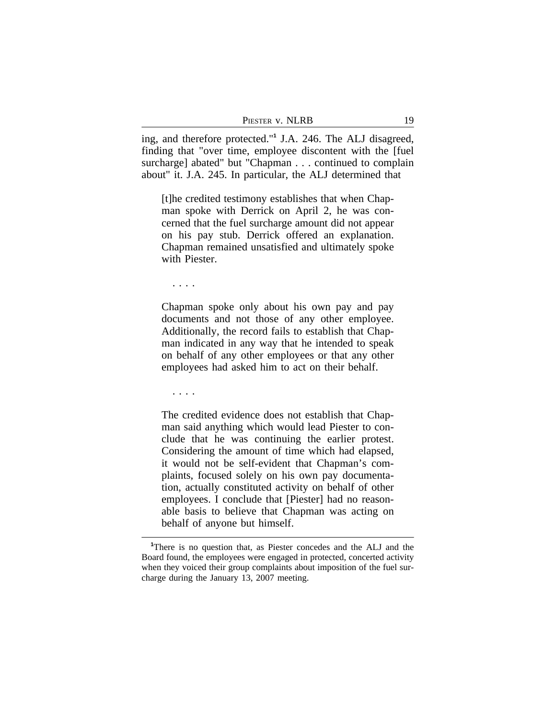| Piester v. NLRB |  |
|-----------------|--|
|                 |  |

ing, and therefore protected."**<sup>1</sup>** J.A. 246. The ALJ disagreed, finding that "over time, employee discontent with the [fuel surcharge] abated" but "Chapman . . . continued to complain about" it. J.A. 245. In particular, the ALJ determined that

[t]he credited testimony establishes that when Chapman spoke with Derrick on April 2, he was concerned that the fuel surcharge amount did not appear on his pay stub. Derrick offered an explanation. Chapman remained unsatisfied and ultimately spoke with Piester.

. . . .

Chapman spoke only about his own pay and pay documents and not those of any other employee. Additionally, the record fails to establish that Chapman indicated in any way that he intended to speak on behalf of any other employees or that any other employees had asked him to act on their behalf.

. . . .

The credited evidence does not establish that Chapman said anything which would lead Piester to conclude that he was continuing the earlier protest. Considering the amount of time which had elapsed, it would not be self-evident that Chapman's complaints, focused solely on his own pay documentation, actually constituted activity on behalf of other employees. I conclude that [Piester] had no reasonable basis to believe that Chapman was acting on behalf of anyone but himself.

**<sup>1</sup>**There is no question that, as Piester concedes and the ALJ and the Board found, the employees were engaged in protected, concerted activity when they voiced their group complaints about imposition of the fuel surcharge during the January 13, 2007 meeting.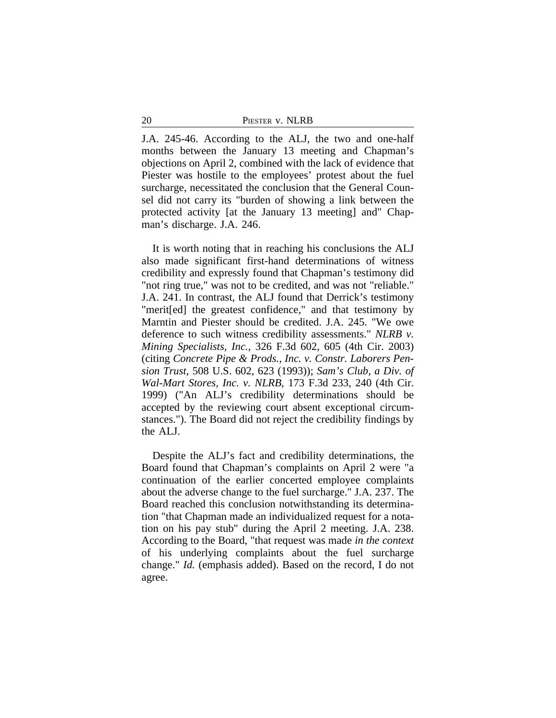| 20 | PIESTER V. NLRB |  |
|----|-----------------|--|
|    |                 |  |

J.A. 245-46. According to the ALJ, the two and one-half months between the January 13 meeting and Chapman's objections on April 2, combined with the lack of evidence that Piester was hostile to the employees' protest about the fuel surcharge, necessitated the conclusion that the General Counsel did not carry its "burden of showing a link between the protected activity [at the January 13 meeting] and" Chapman's discharge. J.A. 246.

It is worth noting that in reaching his conclusions the ALJ also made significant first-hand determinations of witness credibility and expressly found that Chapman's testimony did "not ring true," was not to be credited, and was not "reliable." J.A. 241. In contrast, the ALJ found that Derrick's testimony "merit[ed] the greatest confidence," and that testimony by Marntin and Piester should be credited. J.A. 245. "We owe deference to such witness credibility assessments." *NLRB v. Mining Specialists, Inc.*, 326 F.3d 602, 605 (4th Cir. 2003) (citing *Concrete Pipe & Prods., Inc. v. Constr. Laborers Pension Trust*, 508 U.S. 602, 623 (1993)); *Sam's Club, a Div. of Wal-Mart Stores, Inc. v. NLRB*, 173 F.3d 233, 240 (4th Cir. 1999) ("An ALJ's credibility determinations should be accepted by the reviewing court absent exceptional circumstances."). The Board did not reject the credibility findings by the ALJ.

Despite the ALJ's fact and credibility determinations, the Board found that Chapman's complaints on April 2 were "a continuation of the earlier concerted employee complaints about the adverse change to the fuel surcharge." J.A. 237. The Board reached this conclusion notwithstanding its determination "that Chapman made an individualized request for a notation on his pay stub" during the April 2 meeting. J.A. 238. According to the Board, "that request was made *in the context* of his underlying complaints about the fuel surcharge change." *Id.* (emphasis added). Based on the record, I do not agree.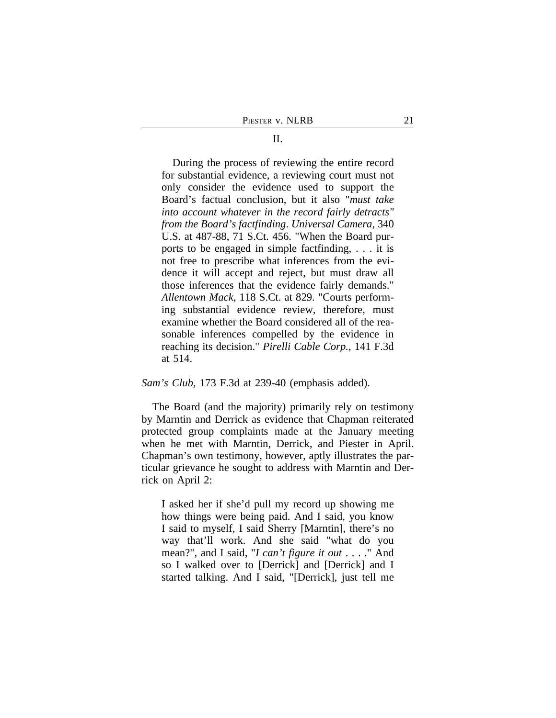### II.

During the process of reviewing the entire record for substantial evidence, a reviewing court must not only consider the evidence used to support the Board's factual conclusion, but it also "*must take into account whatever in the record fairly detracts" from the Board's factfinding*. *Universal Camera*, 340 U.S. at 487-88, 71 S.Ct. 456. "When the Board purports to be engaged in simple factfinding, . . . it is not free to prescribe what inferences from the evidence it will accept and reject, but must draw all those inferences that the evidence fairly demands." *Allentown Mack*, 118 S.Ct. at 829. "Courts performing substantial evidence review, therefore, must examine whether the Board considered all of the reasonable inferences compelled by the evidence in reaching its decision." *Pirelli Cable Corp.*, 141 F.3d at 514.

*Sam's Club*, 173 F.3d at 239-40 (emphasis added).

The Board (and the majority) primarily rely on testimony by Marntin and Derrick as evidence that Chapman reiterated protected group complaints made at the January meeting when he met with Marntin, Derrick, and Piester in April. Chapman's own testimony, however, aptly illustrates the particular grievance he sought to address with Marntin and Derrick on April 2:

I asked her if she'd pull my record up showing me how things were being paid. And I said, you know I said to myself, I said Sherry [Marntin], there's no way that'll work. And she said "what do you mean?", and I said, "*I can't figure it out* . . . ." And so I walked over to [Derrick] and [Derrick] and I started talking. And I said, "[Derrick], just tell me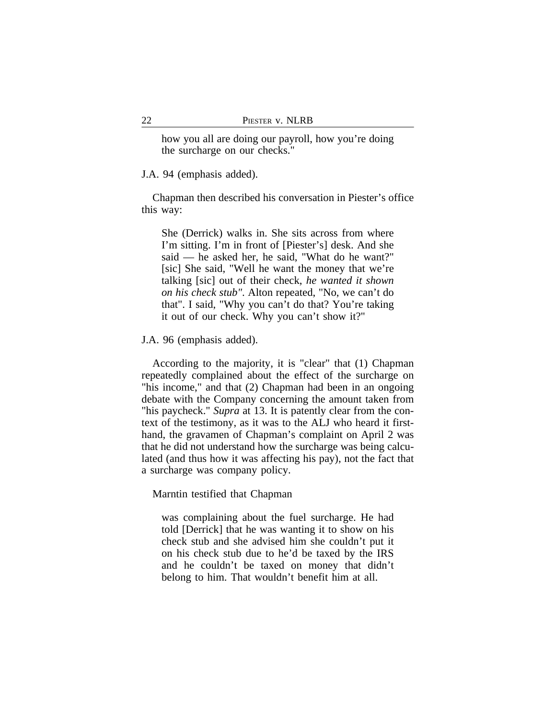how you all are doing our payroll, how you're doing the surcharge on our checks."

J.A. 94 (emphasis added).

Chapman then described his conversation in Piester's office this way:

She (Derrick) walks in. She sits across from where I'm sitting. I'm in front of [Piester's] desk. And she said — he asked her, he said, "What do he want?" [sic] She said, "Well he want the money that we're talking [sic] out of their check, *he wanted it shown on his check stub"*. Alton repeated, "No, we can't do that". I said, "Why you can't do that? You're taking it out of our check. Why you can't show it?"

J.A. 96 (emphasis added).

According to the majority, it is "clear" that (1) Chapman repeatedly complained about the effect of the surcharge on "his income," and that (2) Chapman had been in an ongoing debate with the Company concerning the amount taken from "his paycheck." *Supra* at 13. It is patently clear from the context of the testimony, as it was to the ALJ who heard it firsthand, the gravamen of Chapman's complaint on April 2 was that he did not understand how the surcharge was being calculated (and thus how it was affecting his pay), not the fact that a surcharge was company policy.

Marntin testified that Chapman

was complaining about the fuel surcharge. He had told [Derrick] that he was wanting it to show on his check stub and she advised him she couldn't put it on his check stub due to he'd be taxed by the IRS and he couldn't be taxed on money that didn't belong to him. That wouldn't benefit him at all.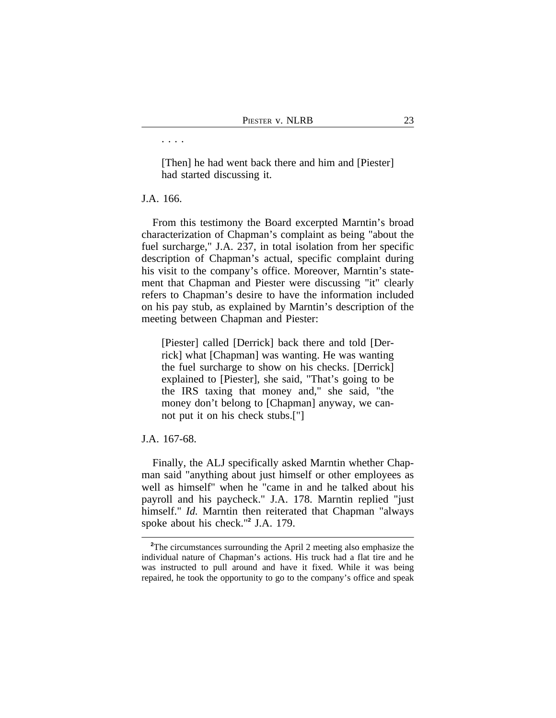[Then] he had went back there and him and [Piester] had started discussing it.

## J.A. 166.

. . . .

From this testimony the Board excerpted Marntin's broad characterization of Chapman's complaint as being "about the fuel surcharge," J.A. 237, in total isolation from her specific description of Chapman's actual, specific complaint during his visit to the company's office. Moreover, Marntin's statement that Chapman and Piester were discussing "it" clearly refers to Chapman's desire to have the information included on his pay stub, as explained by Marntin's description of the meeting between Chapman and Piester:

[Piester] called [Derrick] back there and told [Derrick] what [Chapman] was wanting. He was wanting the fuel surcharge to show on his checks. [Derrick] explained to [Piester], she said, "That's going to be the IRS taxing that money and," she said, "the money don't belong to [Chapman] anyway, we cannot put it on his check stubs.["]

## J.A. 167-68.

Finally, the ALJ specifically asked Marntin whether Chapman said "anything about just himself or other employees as well as himself" when he "came in and he talked about his payroll and his paycheck." J.A. 178. Marntin replied "just himself." *Id.* Marntin then reiterated that Chapman "always" spoke about his check."**<sup>2</sup>** J.A. 179.

**<sup>2</sup>**The circumstances surrounding the April 2 meeting also emphasize the individual nature of Chapman's actions. His truck had a flat tire and he was instructed to pull around and have it fixed. While it was being repaired, he took the opportunity to go to the company's office and speak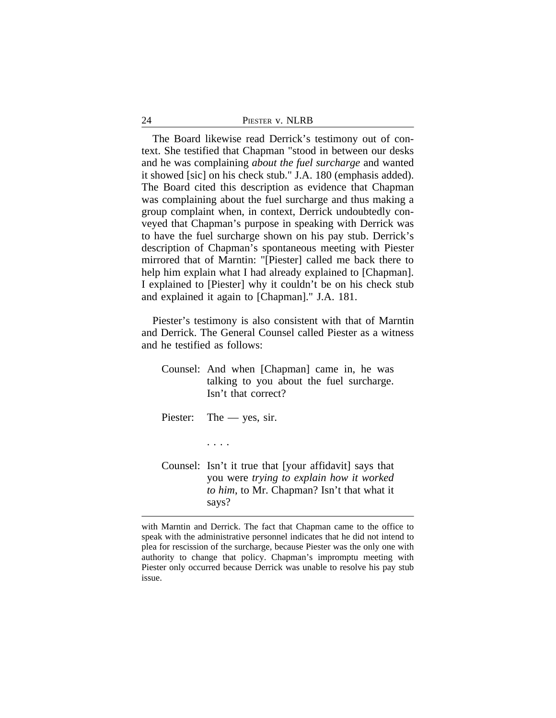The Board likewise read Derrick's testimony out of context. She testified that Chapman "stood in between our desks and he was complaining *about the fuel surcharge* and wanted it showed [sic] on his check stub." J.A. 180 (emphasis added). The Board cited this description as evidence that Chapman was complaining about the fuel surcharge and thus making a group complaint when, in context, Derrick undoubtedly conveyed that Chapman's purpose in speaking with Derrick was to have the fuel surcharge shown on his pay stub. Derrick's description of Chapman's spontaneous meeting with Piester mirrored that of Marntin: "[Piester] called me back there to help him explain what I had already explained to [Chapman]. I explained to [Piester] why it couldn't be on his check stub and explained it again to [Chapman]." J.A. 181.

Piester's testimony is also consistent with that of Marntin and Derrick. The General Counsel called Piester as a witness and he testified as follows:

- Counsel: And when [Chapman] came in, he was talking to you about the fuel surcharge. Isn't that correct? Piester: The — yes, sir.
- Counsel: Isn't it true that [your affidavit] says that you were *trying to explain how it worked to him*, to Mr. Chapman? Isn't that what it says?

. . . .

with Marntin and Derrick. The fact that Chapman came to the office to speak with the administrative personnel indicates that he did not intend to plea for rescission of the surcharge, because Piester was the only one with authority to change that policy. Chapman's impromptu meeting with Piester only occurred because Derrick was unable to resolve his pay stub issue.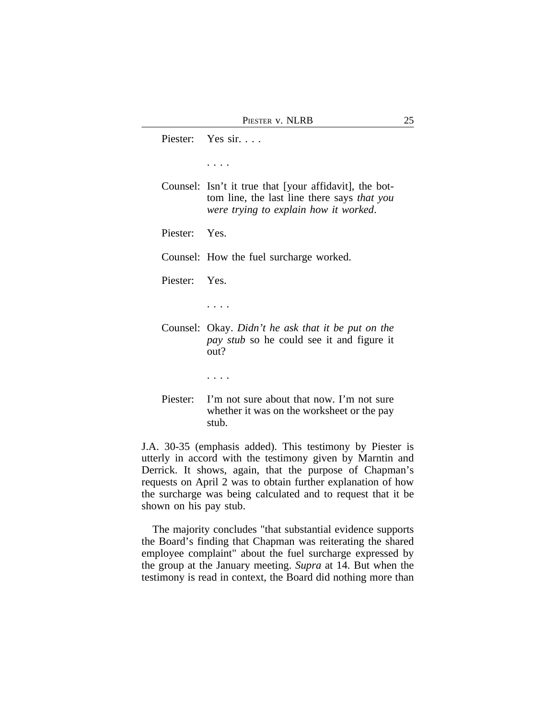Piester: Yes sir. . . . . . . . Counsel: Isn't it true that [your affidavit], the bottom line, the last line there says *that you were trying to explain how it worked*. Piester: Yes. Counsel: How the fuel surcharge worked. Piester: Yes. . . . . Counsel: Okay. *Didn't he ask that it be put on the pay stub* so he could see it and figure it out? . . . . Piester: I'm not sure about that now. I'm not sure whether it was on the worksheet or the pay stub.

J.A. 30-35 (emphasis added). This testimony by Piester is utterly in accord with the testimony given by Marntin and Derrick. It shows, again, that the purpose of Chapman's requests on April 2 was to obtain further explanation of how the surcharge was being calculated and to request that it be shown on his pay stub.

The majority concludes "that substantial evidence supports the Board's finding that Chapman was reiterating the shared employee complaint" about the fuel surcharge expressed by the group at the January meeting. *Supra* at 14. But when the testimony is read in context, the Board did nothing more than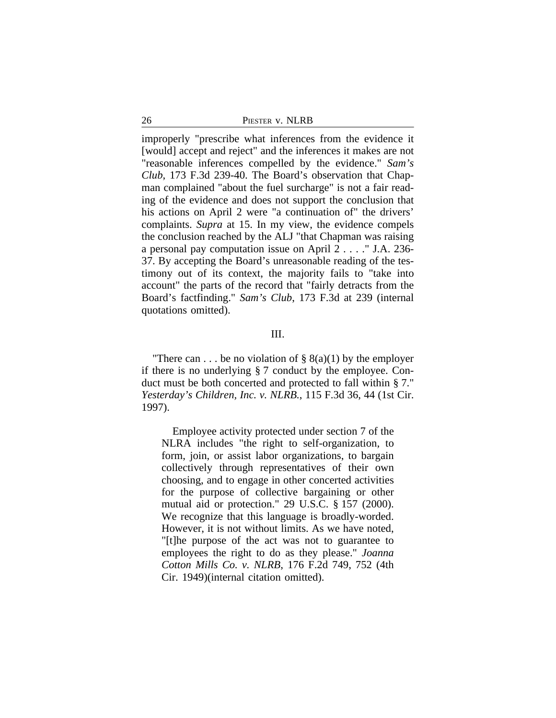26 PIESTER v. NLRB

improperly "prescribe what inferences from the evidence it [would] accept and reject" and the inferences it makes are not "reasonable inferences compelled by the evidence." *Sam's Club*, 173 F.3d 239-40. The Board's observation that Chapman complained "about the fuel surcharge" is not a fair reading of the evidence and does not support the conclusion that his actions on April 2 were "a continuation of" the drivers' complaints. *Supra* at 15. In my view, the evidence compels the conclusion reached by the ALJ "that Chapman was raising a personal pay computation issue on April 2 . . . ." J.A. 236- 37. By accepting the Board's unreasonable reading of the testimony out of its context, the majority fails to "take into account" the parts of the record that "fairly detracts from the Board's factfinding." *Sam's Club*, 173 F.3d at 239 (internal quotations omitted).

## III.

"There can . . . be no violation of  $\S$  8(a)(1) by the employer if there is no underlying § 7 conduct by the employee. Conduct must be both concerted and protected to fall within § 7." *Yesterday's Children, Inc. v. NLRB.*, 115 F.3d 36, 44 (1st Cir. 1997).

Employee activity protected under section 7 of the NLRA includes "the right to self-organization, to form, join, or assist labor organizations, to bargain collectively through representatives of their own choosing, and to engage in other concerted activities for the purpose of collective bargaining or other mutual aid or protection." 29 U.S.C. § 157 (2000). We recognize that this language is broadly-worded. However, it is not without limits. As we have noted, "[t]he purpose of the act was not to guarantee to employees the right to do as they please." *Joanna Cotton Mills Co. v. NLRB*, 176 F.2d 749, 752 (4th Cir. 1949)(internal citation omitted).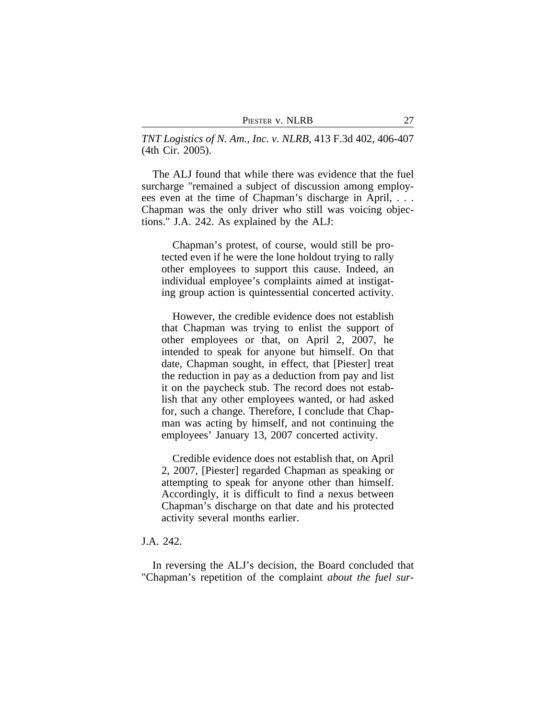*TNT Logistics of N. Am., Inc. v. NLRB*, 413 F.3d 402, 406-407 (4th Cir. 2005).

The ALJ found that while there was evidence that the fuel surcharge "remained a subject of discussion among employees even at the time of Chapman's discharge in April, . . . Chapman was the only driver who still was voicing objections." J.A. 242. As explained by the ALJ:

Chapman's protest, of course, would still be protected even if he were the lone holdout trying to rally other employees to support this cause. Indeed, an individual employee's complaints aimed at instigating group action is quintessential concerted activity.

However, the credible evidence does not establish that Chapman was trying to enlist the support of other employees or that, on April 2, 2007, he intended to speak for anyone but himself. On that date, Chapman sought, in effect, that [Piester] treat the reduction in pay as a deduction from pay and list it on the paycheck stub. The record does not establish that any other employees wanted, or had asked for, such a change. Therefore, I conclude that Chapman was acting by himself, and not continuing the employees' January 13, 2007 concerted activity.

Credible evidence does not establish that, on April 2, 2007, [Piester] regarded Chapman as speaking or attempting to speak for anyone other than himself. Accordingly, it is difficult to find a nexus between Chapman's discharge on that date and his protected activity several months earlier.

## J.A. 242.

In reversing the ALJ's decision, the Board concluded that "Chapman's repetition of the complaint *about the fuel sur-*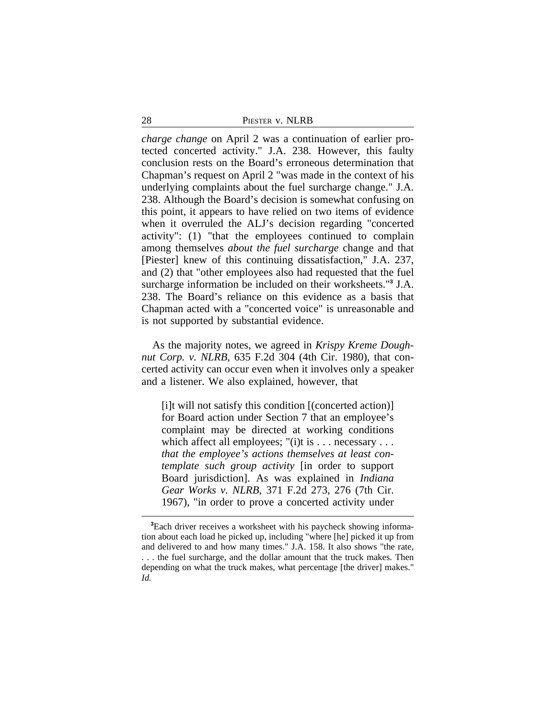| 28 | PIESTER V. NLRB |  |
|----|-----------------|--|
|    |                 |  |

*charge change* on April 2 was a continuation of earlier protected concerted activity." J.A. 238. However, this faulty conclusion rests on the Board's erroneous determination that Chapman's request on April 2 "was made in the context of his underlying complaints about the fuel surcharge change." J.A. 238. Although the Board's decision is somewhat confusing on this point, it appears to have relied on two items of evidence when it overruled the ALJ's decision regarding "concerted activity": (1) "that the employees continued to complain among themselves *about the fuel surcharge* change and that [Piester] knew of this continuing dissatisfaction," J.A. 237, and (2) that "other employees also had requested that the fuel surcharge information be included on their worksheets."**<sup>3</sup>** J.A. 238. The Board's reliance on this evidence as a basis that Chapman acted with a "concerted voice" is unreasonable and is not supported by substantial evidence.

As the majority notes, we agreed in *Krispy Kreme Doughnut Corp. v. NLRB*, 635 F.2d 304 (4th Cir. 1980), that concerted activity can occur even when it involves only a speaker and a listener. We also explained, however, that

[i]t will not satisfy this condition [(concerted action)] for Board action under Section 7 that an employee's complaint may be directed at working conditions which affect all employees; "(i)t is  $\dots$  necessary  $\dots$ *that the employee's actions themselves at least contemplate such group activity* [in order to support Board jurisdiction]. As was explained in *Indiana Gear Works v. NLRB*, 371 F.2d 273, 276 (7th Cir. 1967), "in order to prove a concerted activity under

**<sup>3</sup>**Each driver receives a worksheet with his paycheck showing information about each load he picked up, including "where [he] picked it up from and delivered to and how many times." J.A. 158. It also shows "the rate, . . . the fuel surcharge, and the dollar amount that the truck makes. Then depending on what the truck makes, what percentage [the driver] makes." *Id.*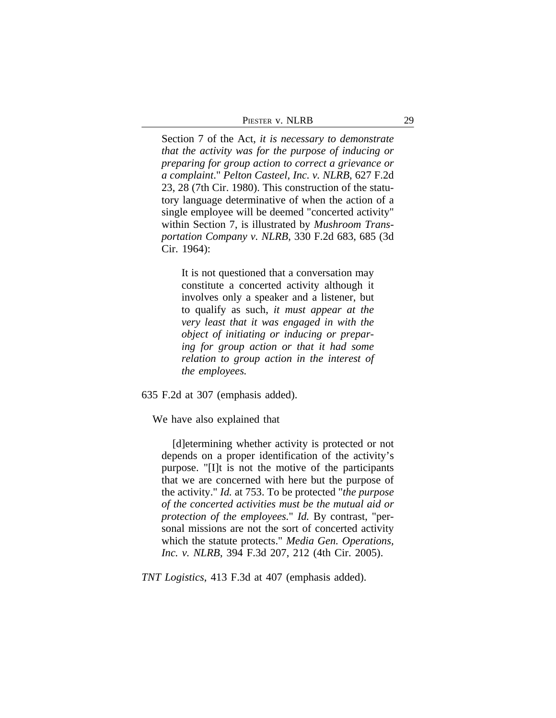| Piester v. NLRB | 29 |
|-----------------|----|
|                 |    |

Section 7 of the Act, *it is necessary to demonstrate that the activity was for the purpose of inducing or preparing for group action to correct a grievance or a complaint*." *Pelton Casteel, Inc. v. NLRB*, 627 F.2d 23, 28 (7th Cir. 1980). This construction of the statutory language determinative of when the action of a single employee will be deemed "concerted activity" within Section 7, is illustrated by *Mushroom Transportation Company v. NLRB*, 330 F.2d 683, 685 (3d Cir. 1964):

It is not questioned that a conversation may constitute a concerted activity although it involves only a speaker and a listener, but to qualify as such, *it must appear at the very least that it was engaged in with the object of initiating or inducing or preparing for group action or that it had some relation to group action in the interest of the employees.*

635 F.2d at 307 (emphasis added).

We have also explained that

[d]etermining whether activity is protected or not depends on a proper identification of the activity's purpose. "[I]t is not the motive of the participants that we are concerned with here but the purpose of the activity." *Id.* at 753. To be protected "*the purpose of the concerted activities must be the mutual aid or protection of the employees.*" *Id.* By contrast, "personal missions are not the sort of concerted activity which the statute protects." *Media Gen. Operations, Inc. v. NLRB*, 394 F.3d 207, 212 (4th Cir. 2005).

*TNT Logistics*, 413 F.3d at 407 (emphasis added).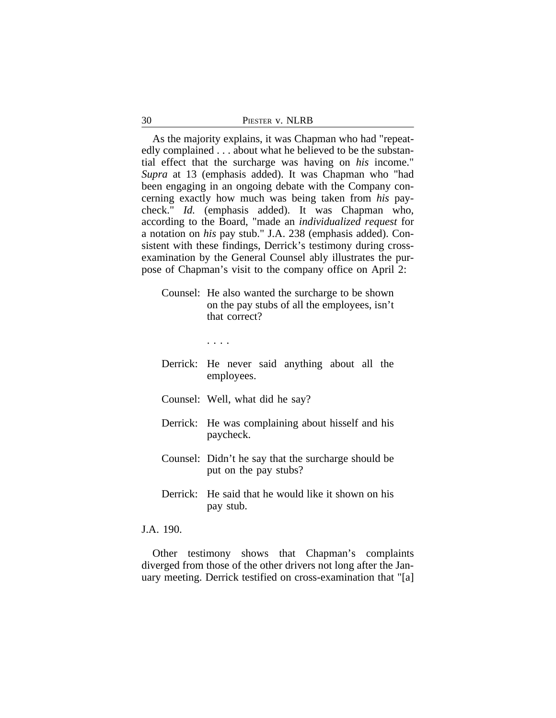| 30 | PIESTER V. NLRB |  |
|----|-----------------|--|
|    |                 |  |

As the majority explains, it was Chapman who had "repeatedly complained . . . about what he believed to be the substantial effect that the surcharge was having on *his* income." *Supra* at 13 (emphasis added). It was Chapman who "had been engaging in an ongoing debate with the Company concerning exactly how much was being taken from *his* paycheck." *Id.* (emphasis added). It was Chapman who, according to the Board, "made an *individualized request* for a notation on *his* pay stub." J.A. 238 (emphasis added). Consistent with these findings, Derrick's testimony during crossexamination by the General Counsel ably illustrates the purpose of Chapman's visit to the company office on April 2:

Counsel: He also wanted the surcharge to be shown on the pay stubs of all the employees, isn't that correct?

. . . .

- Derrick: He never said anything about all the employees.
- Counsel: Well, what did he say?
- Derrick: He was complaining about hisself and his paycheck.
- Counsel: Didn't he say that the surcharge should be put on the pay stubs?
- Derrick: He said that he would like it shown on his pay stub.

J.A. 190.

Other testimony shows that Chapman's complaints diverged from those of the other drivers not long after the January meeting. Derrick testified on cross-examination that "[a]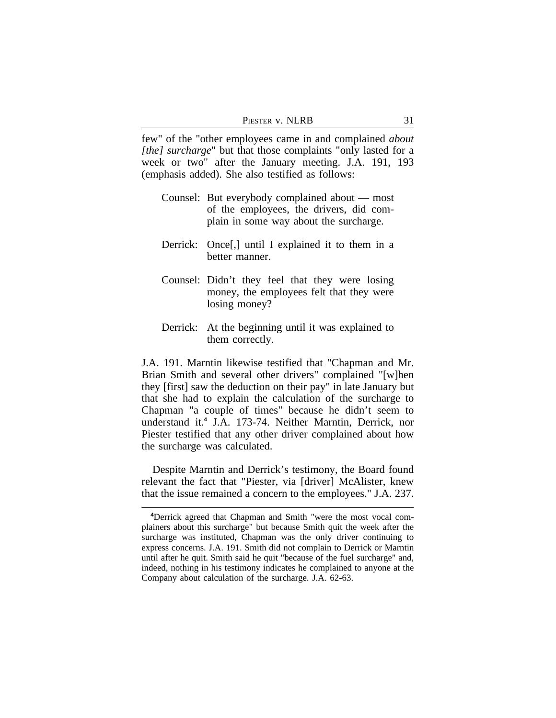| PIESTER V. NLRB |  |
|-----------------|--|
|-----------------|--|

few" of the "other employees came in and complained *about [the] surcharge*" but that those complaints "only lasted for a week or two" after the January meeting. J.A. 191, 193 (emphasis added). She also testified as follows:

- Counsel: But everybody complained about most of the employees, the drivers, did complain in some way about the surcharge.
- Derrick: Once<sup>[1]</sup>, until I explained it to them in a better manner.
- Counsel: Didn't they feel that they were losing money, the employees felt that they were losing money?
- Derrick: At the beginning until it was explained to them correctly.

J.A. 191. Marntin likewise testified that "Chapman and Mr. Brian Smith and several other drivers" complained "[w]hen they [first] saw the deduction on their pay" in late January but that she had to explain the calculation of the surcharge to Chapman "a couple of times" because he didn't seem to understand it.**<sup>4</sup>** J.A. 173-74. Neither Marntin, Derrick, nor Piester testified that any other driver complained about how the surcharge was calculated.

Despite Marntin and Derrick's testimony, the Board found relevant the fact that "Piester, via [driver] McAlister, knew that the issue remained a concern to the employees." J.A. 237.

**<sup>4</sup>**Derrick agreed that Chapman and Smith "were the most vocal complainers about this surcharge" but because Smith quit the week after the surcharge was instituted, Chapman was the only driver continuing to express concerns. J.A. 191. Smith did not complain to Derrick or Marntin until after he quit. Smith said he quit "because of the fuel surcharge" and, indeed, nothing in his testimony indicates he complained to anyone at the Company about calculation of the surcharge. J.A. 62-63.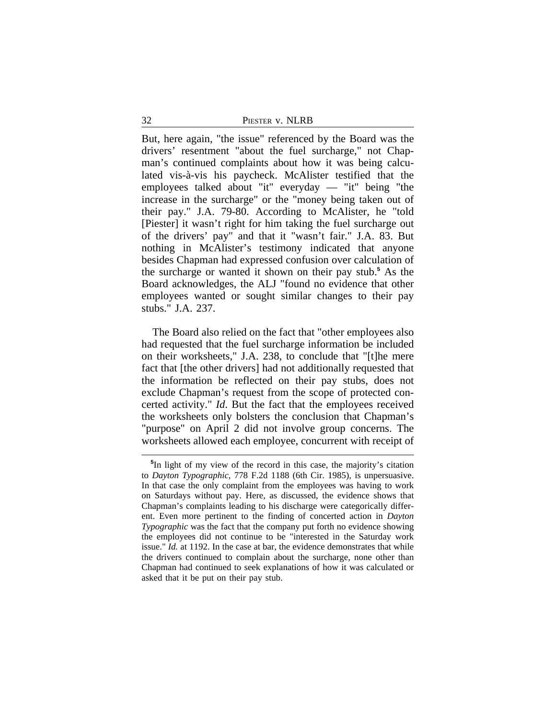But, here again, "the issue" referenced by the Board was the drivers' resentment "about the fuel surcharge," not Chapman's continued complaints about how it was being calculated vis-à-vis his paycheck. McAlister testified that the employees talked about "it" everyday — "it" being "the increase in the surcharge" or the "money being taken out of their pay." J.A. 79-80. According to McAlister, he "told [Piester] it wasn't right for him taking the fuel surcharge out of the drivers' pay" and that it "wasn't fair." J.A. 83. But nothing in McAlister's testimony indicated that anyone besides Chapman had expressed confusion over calculation of the surcharge or wanted it shown on their pay stub.**<sup>5</sup>** As the Board acknowledges, the ALJ "found no evidence that other employees wanted or sought similar changes to their pay stubs." J.A. 237.

The Board also relied on the fact that "other employees also had requested that the fuel surcharge information be included on their worksheets," J.A. 238, to conclude that "[t]he mere fact that [the other drivers] had not additionally requested that the information be reflected on their pay stubs, does not exclude Chapman's request from the scope of protected concerted activity." *Id*. But the fact that the employees received the worksheets only bolsters the conclusion that Chapman's "purpose" on April 2 did not involve group concerns. The worksheets allowed each employee, concurrent with receipt of

**<sup>5</sup>** In light of my view of the record in this case, the majority's citation to *Dayton Typographic*, 778 F.2d 1188 (6th Cir. 1985), is unpersuasive. In that case the only complaint from the employees was having to work on Saturdays without pay. Here, as discussed, the evidence shows that Chapman's complaints leading to his discharge were categorically different. Even more pertinent to the finding of concerted action in *Dayton Typographic* was the fact that the company put forth no evidence showing the employees did not continue to be "interested in the Saturday work issue." *Id.* at 1192. In the case at bar, the evidence demonstrates that while the drivers continued to complain about the surcharge, none other than Chapman had continued to seek explanations of how it was calculated or asked that it be put on their pay stub.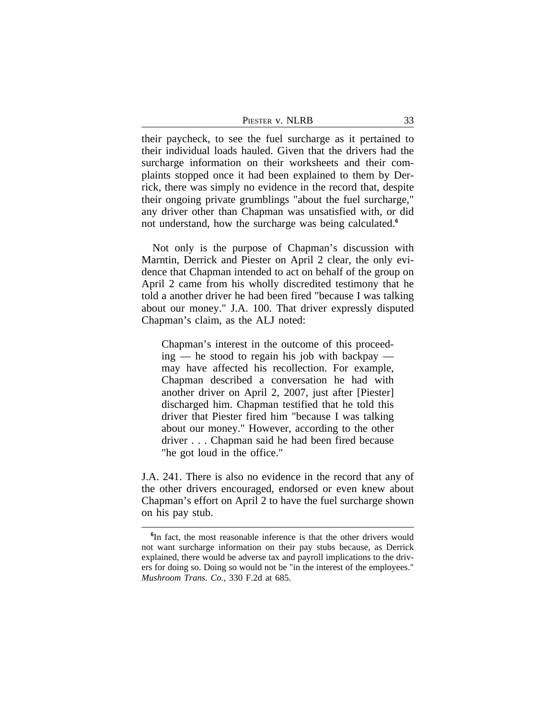| Piester v. NLRB |  |
|-----------------|--|
|                 |  |

their paycheck, to see the fuel surcharge as it pertained to their individual loads hauled. Given that the drivers had the surcharge information on their worksheets and their complaints stopped once it had been explained to them by Derrick, there was simply no evidence in the record that, despite their ongoing private grumblings "about the fuel surcharge," any driver other than Chapman was unsatisfied with, or did not understand, how the surcharge was being calculated.**<sup>6</sup>**

Not only is the purpose of Chapman's discussion with Marntin, Derrick and Piester on April 2 clear, the only evidence that Chapman intended to act on behalf of the group on April 2 came from his wholly discredited testimony that he told a another driver he had been fired "because I was talking about our money." J.A. 100. That driver expressly disputed Chapman's claim, as the ALJ noted:

Chapman's interest in the outcome of this proceed $ing$  — he stood to regain his job with backpay may have affected his recollection. For example, Chapman described a conversation he had with another driver on April 2, 2007, just after [Piester] discharged him. Chapman testified that he told this driver that Piester fired him "because I was talking about our money." However, according to the other driver . . . Chapman said he had been fired because "he got loud in the office."

J.A. 241. There is also no evidence in the record that any of the other drivers encouraged, endorsed or even knew about Chapman's effort on April 2 to have the fuel surcharge shown on his pay stub.

<sup>&</sup>lt;sup>6</sup>In fact, the most reasonable inference is that the other drivers would not want surcharge information on their pay stubs because, as Derrick explained, there would be adverse tax and payroll implications to the drivers for doing so. Doing so would not be "in the interest of the employees." *Mushroom Trans. Co.*, 330 F.2d at 685.